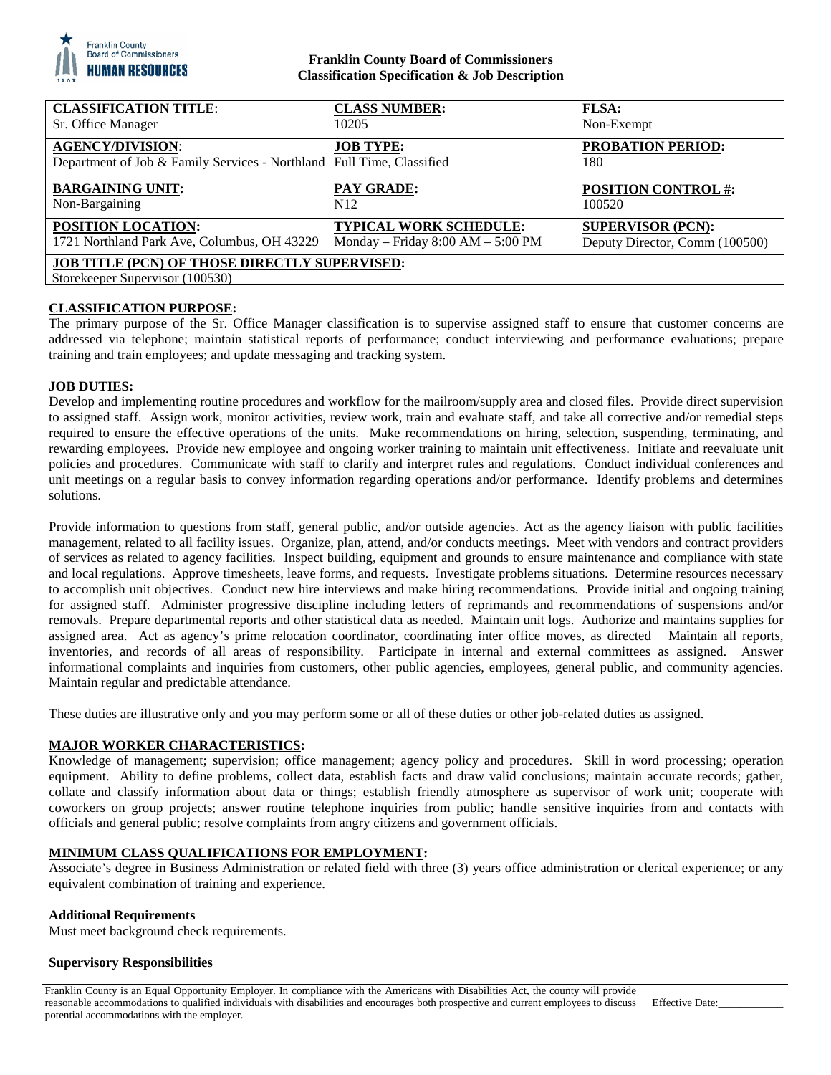

# **Franklin County Board of Commissioners Classification Specification & Job Description**

| <b>CLASSIFICATION TITLE:</b>                                                                     | <b>CLASS NUMBER:</b>                  | <b>FLSA:</b>                    |
|--------------------------------------------------------------------------------------------------|---------------------------------------|---------------------------------|
| Sr. Office Manager                                                                               | 10205                                 | Non-Exempt                      |
| <b>AGENCY/DIVISION:</b><br>Department of Job & Family Services - Northland Full Time, Classified | <b>JOB TYPE:</b>                      | <b>PROBATION PERIOD:</b><br>180 |
| <b>BARGAINING UNIT:</b>                                                                          | <b>PAY GRADE:</b>                     | <b>POSITION CONTROL #:</b>      |
| Non-Bargaining                                                                                   | N <sub>12</sub>                       | 100520                          |
| <b>POSITION LOCATION:</b>                                                                        | <b>TYPICAL WORK SCHEDULE:</b>         | <b>SUPERVISOR (PCN):</b>        |
| 1721 Northland Park Ave, Columbus, OH 43229                                                      | Monday – Friday $8:00$ AM – $5:00$ PM | Deputy Director, Comm (100500)  |
| <b>JOB TITLE (PCN) OF THOSE DIRECTLY SUPERVISED:</b><br>Storekeeper Supervisor (100530)          |                                       |                                 |

# **CLASSIFICATION PURPOSE:**

The primary purpose of the Sr. Office Manager classification is to supervise assigned staff to ensure that customer concerns are addressed via telephone; maintain statistical reports of performance; conduct interviewing and performance evaluations; prepare training and train employees; and update messaging and tracking system.

## **JOB DUTIES:**

Develop and implementing routine procedures and workflow for the mailroom/supply area and closed files. Provide direct supervision to assigned staff. Assign work, monitor activities, review work, train and evaluate staff, and take all corrective and/or remedial steps required to ensure the effective operations of the units. Make recommendations on hiring, selection, suspending, terminating, and rewarding employees. Provide new employee and ongoing worker training to maintain unit effectiveness. Initiate and reevaluate unit policies and procedures. Communicate with staff to clarify and interpret rules and regulations. Conduct individual conferences and unit meetings on a regular basis to convey information regarding operations and/or performance. Identify problems and determines solutions.

Provide information to questions from staff, general public, and/or outside agencies. Act as the agency liaison with public facilities management, related to all facility issues. Organize, plan, attend, and/or conducts meetings. Meet with vendors and contract providers of services as related to agency facilities. Inspect building, equipment and grounds to ensure maintenance and compliance with state and local regulations. Approve timesheets, leave forms, and requests. Investigate problems situations. Determine resources necessary to accomplish unit objectives. Conduct new hire interviews and make hiring recommendations. Provide initial and ongoing training for assigned staff. Administer progressive discipline including letters of reprimands and recommendations of suspensions and/or removals. Prepare departmental reports and other statistical data as needed. Maintain unit logs. Authorize and maintains supplies for assigned area. Act as agency's prime relocation coordinator, coordinating inter office moves, as directed Maintain all reports, inventories, and records of all areas of responsibility. Participate in internal and external committees as assigned. Answer informational complaints and inquiries from customers, other public agencies, employees, general public, and community agencies. Maintain regular and predictable attendance.

These duties are illustrative only and you may perform some or all of these duties or other job-related duties as assigned.

### **MAJOR WORKER CHARACTERISTICS:**

Knowledge of management; supervision; office management; agency policy and procedures. Skill in word processing; operation equipment. Ability to define problems, collect data, establish facts and draw valid conclusions; maintain accurate records; gather, collate and classify information about data or things; establish friendly atmosphere as supervisor of work unit; cooperate with coworkers on group projects; answer routine telephone inquiries from public; handle sensitive inquiries from and contacts with officials and general public; resolve complaints from angry citizens and government officials.

### **MINIMUM CLASS QUALIFICATIONS FOR EMPLOYMENT:**

Associate's degree in Business Administration or related field with three (3) years office administration or clerical experience; or any equivalent combination of training and experience.

### **Additional Requirements**

Must meet background check requirements.

### **Supervisory Responsibilities**

Franklin County is an Equal Opportunity Employer. In compliance with the Americans with Disabilities Act, the county will provide reasonable accommodations to qualified individuals with disabilities and encourages both prospective and current employees to discuss potential accommodations with the employer.

Effective Date: